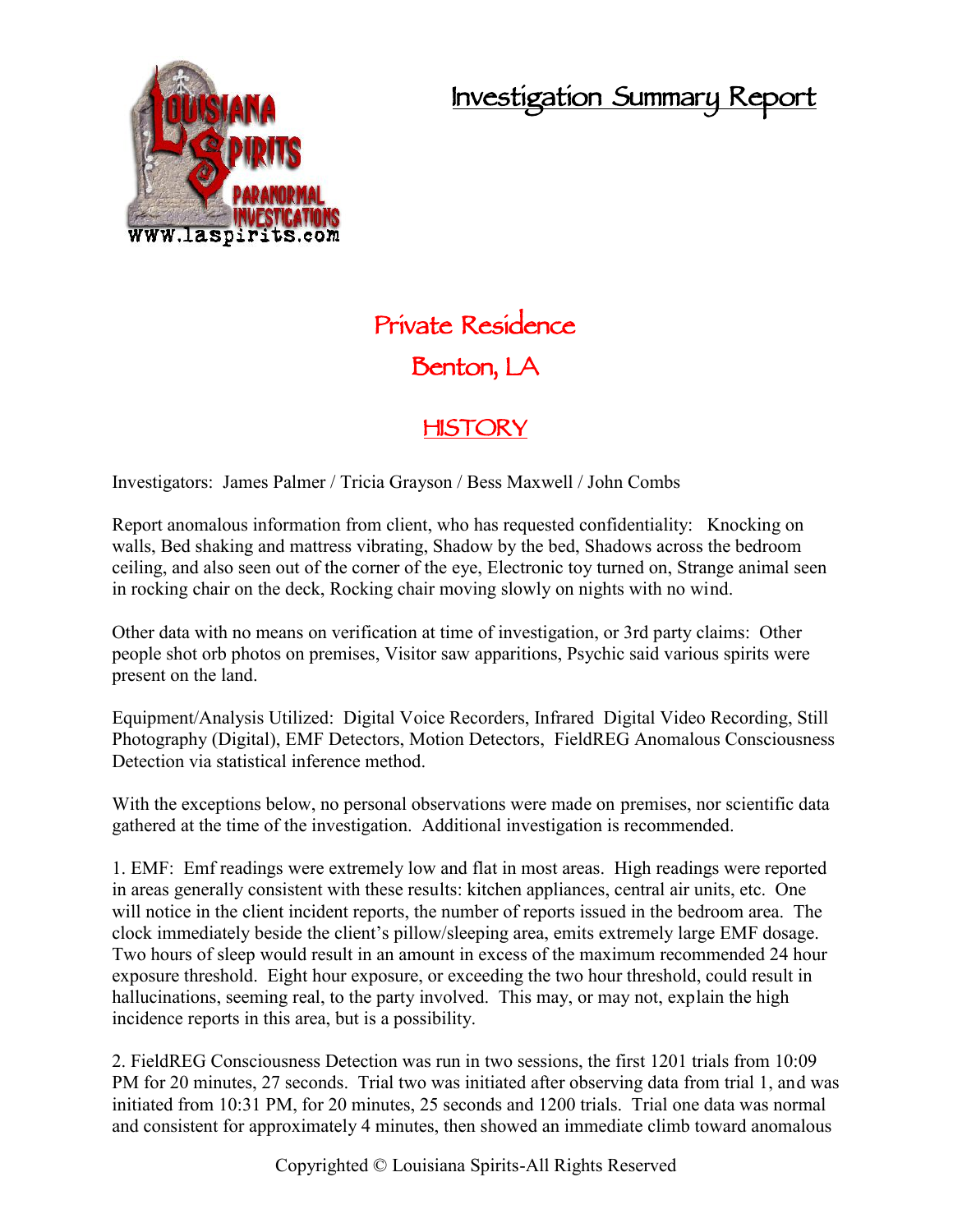## **Investigation Summary Report**



## **Private Residence Benton, LA**

## **HISTORY**

Investigators: James Palmer / Tricia Grayson / Bess Maxwell / John Combs

Report anomalous information from client, who has requested confidentiality: Knocking on walls, Bed shaking and mattress vibrating, Shadow by the bed, Shadows across the bedroom ceiling, and also seen out of the corner of the eye, Electronic toy turned on, Strange animal seen in rocking chair on the deck, Rocking chair moving slowly on nights with no wind.

Other data with no means on verification at time of investigation, or 3rd party claims: Other people shot orb photos on premises, Visitor saw apparitions, Psychic said various spirits were present on the land.

Equipment/Analysis Utilized: Digital Voice Recorders, Infrared Digital Video Recording, Still Photography (Digital), EMF Detectors, Motion Detectors, FieldREG Anomalous Consciousness Detection via statistical inference method.

With the exceptions below, no personal observations were made on premises, nor scientific data gathered at the time of the investigation. Additional investigation is recommended.

1. EMF: Emf readings were extremely low and flat in most areas. High readings were reported in areas generally consistent with these results: kitchen appliances, central air units, etc. One will notice in the client incident reports, the number of reports issued in the bedroom area. The clock immediately beside the client's pillow/sleeping area, emits extremely large EMF dosage. Two hours of sleep would result in an amount in excess of the maximum recommended 24 hour exposure threshold. Eight hour exposure, or exceeding the two hour threshold, could result in hallucinations, seeming real, to the party involved. This may, or may not, explain the high incidence reports in this area, but is a possibility.

2. FieldREG Consciousness Detection was run in two sessions, the first 1201 trials from 10:09 PM for 20 minutes, 27 seconds. Trial two was initiated after observing data from trial 1, and was initiated from 10:31 PM, for 20 minutes, 25 seconds and 1200 trials. Trial one data was normal and consistent for approximately 4 minutes, then showed an immediate climb toward anomalous